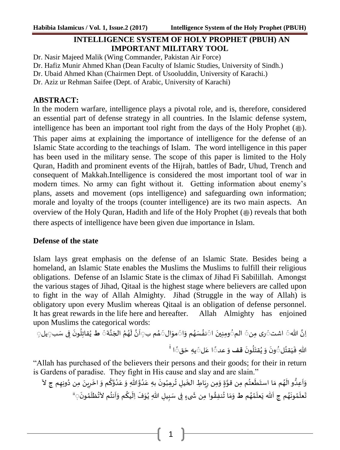# **INTELLIGENCE SYSTEM OF HOLY PROPHET (PBUH) AN IMPORTANT MILITARY TOOL**

Dr. Nasir Majeed Malik (Wing Commander, Pakistan Air Force)

Dr. Hafiz Munir Ahmed Khan (Dean Faculty of Islamic Studies, University of Sindh.)

Dr. Ubaid Ahmed Khan (Chairmen Dept. of Usooluddin, University of Karachi.)

Dr. Aziz ur Rehman Saifee (Dept. of Arabic, University of Karachi)

## **ABSTRACT:**

In the modern warfare, intelligence plays a pivotal role, and is, therefore, considered an essential part of defense strategy in all countries. In the Islamic defense system, intelligence has been an important tool right from the days of the Holy Prophet (...). This paper aims at explaining the importance of intelligence for the defense of an Islamic State according to the teachings of Islam. The word intelligence in this paper has been used in the military sense. The scope of this paper is limited to the Holy Quran, Hadith and prominent events of the Hijrah, battles of Badr, Uhud, Trench and consequent of Makkah.Intelligence is considered the most important tool of war in modern times. No army can fight without it. Getting information about enemy's plans, assets and movement (ops intelligence) and safeguarding own information; morale and loyalty of the troops (counter intelligence) are its two main aspects. An overview of the Holy Quran, Hadith and life of the Holy Prophet (...) reveals that both there aspects of intelligence have been given due importance in Islam.

### **Defense of the state**

Islam lays great emphasis on the defense of an Islamic State. Besides being a homeland, an Islamic State enables the Muslims the Muslims to fulfill their religious obligations. Defense of an Islamic State is the climax of Jihad Fi Sabilillah. Amongst the various stages of Jihad, Qitaal is the highest stage where believers are called upon to fight in the way of Allah Almighty. Jihad (Struggle in the way of Allah) is obligatory upon every Muslim whereas Qitaal is an obligation of defense personnel. It has great rewards in the life here and hereafter. Allah Almighty has enjoined upon Muslims the categorical words:

ِان ہللا َ اشت َری ِمن َ الم َ ا َ ِ ین وِمن َ ا َ م و ُ ھ سَ ُ نف َ ال َ مو َ م ب ُ ھ َ ۃ ن َ الج ُ م ُ ھ َ ل ن َ ا َ **ط** ب ِی سَ ف َ ون ُ ِل قات ُ َیل َ ی i ا قَ َ ِہ ح ی لَ َ ا ع عدَ َ **قف** و َ ون ُ ل َ قت ُ ی َ و َ ون لَ ُ قت َ ی َ ِہللا ف

"Allah has purchased of the believers their persons and their goods; for their in return is Gardens of paradise. They fight in His cause and slay and are slain."

֧֦֧֦֧֦֧֦֧֦֧֦֧֚֜ وَاَعِدُّو الَهُم مَا استَط**َع**تُم مِن قوَّةٍ وَمِن رِبَاطِ الخَيلِ تُرهِبُونَ بهِ عَدُوَّاللهِ وَ عَدُوَّكُم وَ اخَرِينَ مِن دُونِهِم ج لاَ .<br>. ڔ : ູ້ ֧֛֚ َّ ֧֖֚֚֚֚֓֝֝֝֝<br>֧֚֚֚֝ ֖֖֚֚֚֚֚֚֡֝֝֝<br>֧֪֧֪֪֪֪֪֪֪֪֪֪֦֪֪֪֪֪֚֚֚֚֚֚֚֚֚֚֚֚֚֝֝֝֝֟֓֝֟֝֝֟֝  $\ddot{\phantom{0}}$ َّ .<br>י ֚ .<br>-<br>• , ֧֦֧֦֧֦֧֘֕ :<br>: .<br>. ز  $\overline{\phantom{a}}$ ً<br>؞ :  $\tilde{\mathbf{r}}$  $\ddot{\phantom{0}}$  $\overline{\phantom{a}}$ ۮ  $\overline{\mathbf{r}}$ ِ  $\overline{\phantom{a}}$  $\overline{\phantom{a}}$ ֞ تَعلَمُونَهُم ج اَللّٰه يَعلَمُهُم ط وَمَا تُنفِقُوا مِن شَىءٍ فِى سَبِيلِ اللّٰهِ يُوَفَ اِلَيكُم وَاَنتُم لاَتُظلَمُونَ ٖ"  $\ddot{\phantom{0}}$ ֛֠֠ l. ļ. ຸ .<br>.  $\mathbf{r}$  $\ddot{\phantom{0}}$ į  $\ddot{\cdot}$  $\overline{\phantom{a}}$  $\overline{\phantom{a}}$ ,<br>.  $\frac{1}{2}$  $\tilde{z}$ į ۔<br>•  $\overline{\phantom{a}}$  $\ddot{\phantom{0}}$ ۮ ۮ  $\overline{\phantom{a}}$  $\ddot{\cdot}$  $\mathbf{r}$ ۮ -<br>ř ֚֡<br>֡֜֜֜  $\ddot{\ }$ 

1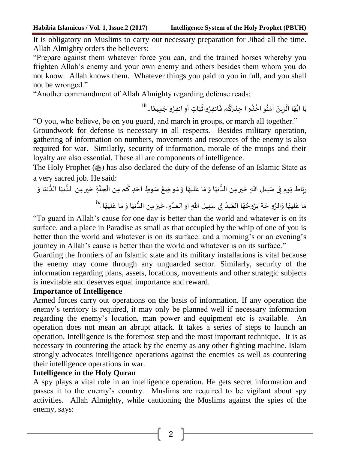It is obligatory on Muslims to carry out necessary preparation for Jihad all the time. Allah Almighty orders the believers:

"Prepare against them whatever force you can, and the trained horses whereby you frighten Allah's enemy and your own enemy and others besides them whom you do not know. Allah knows them. Whatever things you paid to you in full, and you shall not be wronged."

"Another commandment of Allah Almighty regarding defense reads:

يَا اَيُّهَا اَلَزِينَ اٰمَنُو اخُذُو ا حِذرَكُم فَانفِرُواثُبَاتٍ اَوِ انفِرُواجَمِيعًا ـ <sup>iii</sup>  $\ddot{\phantom{0}}$  $\overline{\phantom{a}}$ ءِ  $\mathbf{r}$  $\ddot{\phantom{0}}$ រុំ  $\ddot{\cdot}$ ļ  $\ddot{\cdot}$ ر<br>ڊ ؛ ,<br>.  $\frac{1}{2}$ ٰ  $\ddot{\cdot}$  $\ddot{\phantom{0}}$  $\mathbf{r}$  $\overline{1}$ Ş  $\mathbf{r}$  $\ddot{\cdot}$ 

"O you, who believe, be on you guard, and march in groups, or march all together."

Groundwork for defense is necessary in all respects. Besides military operation, gathering of information on numbers, movements and resources of the enemy is also required for war. Similarly, security of information, morale of the troops and their loyalty are also essential. These all are components of intelligence.

The Holy Prophet ( $\circledast$ ) has also declared the duty of the defense of an Islamic State as a very sacred job. He said:

<sub>ربَ</sub>اط يَوم فِى سَبيل اللهِ خَير مِن الدُّنيَا وَ مَا عَليهَا وَ مَو ضِعُ سَوطِ احَدِ كُم مِن الَجنَّةِ خَير مِن الدُّنيَا الدُّنيَا وَ  $\overline{\phantom{a}}$ ֧֘  $\tilde{ }$  $\ddot{\ }$  $\tilde{ }$ ֧֠  $\tilde{\phantom{a}}$  $\ddot{\phantom{0}}$  $\ddot{\phantom{0}}$ ِ  $\ddot{\cdot}$  $\ddot{\cdot}$  $\ddot{\cdot}$  $\ddot{\phantom{0}}$  $\ddot{\phantom{0}}$ ا<br>د  $\ddot{\phantom{0}}$ ِّ : َّ เ<br>เ Ļ مَا عَليهَا وَالرَّو حَة يَرُوحُهَا العَبدُ فِى سَبيل اللهِ او العدُو، خَيرَ مِن الدُّنيَا وَ مَا عَليهَا ،''  $\overline{a}$  $\overline{\phantom{a}}$  $\overline{\phantom{a}}$  $\ddot{\phantom{0}}$  $\ddot{\phantom{0}}$ ُّ  $\ddot{\phantom{0}}$  $\ddot{\cdot}$ ֧֘ J  $\overline{\phantom{a}}$  $\overline{\phantom{a}}$ ؛  $\ddot{\cdot}$  $\overline{\phantom{a}}$  $\overline{\phantom{a}}$  $\frac{1}{4}$  $\overline{\phantom{a}}$  $\overline{\phantom{a}}$ 

"To guard in Allah's cause for one day is better than the world and whatever is on its surface, and a place in Paradise as small as that occupied by the whip of one of you is better than the world and whatever is on its surface: and a morning's or an evening's journey in Allah's cause is better than the world and whatever is on its surface."

Guarding the frontiers of an Islamic state and its military installations is vital because the enemy may come through any unguarded sector. Similarly, security of the information regarding plans, assets, locations, movements and other strategic subjects is inevitable and deserves equal importance and reward.

# **Importance of Intelligence**

Armed forces carry out operations on the basis of information. If any operation the enemy's territory is required, it may only be planned well if necessary information regarding the enemy's location, man power and equipment etc is available. An operation does not mean an abrupt attack. It takes a series of steps to launch an operation. Intelligence is the foremost step and the most important technique. It is as necessary in countering the attack by the enemy as any other fighting machine. Islam strongly advocates intelligence operations against the enemies as well as countering their intelligence operations in war.

# **Intelligence in the Holy Quran**

A spy plays a vital role in an intelligence operation. He gets secret information and passes it to the enemy's country. Muslims are required to be vigilant about spy activities. Allah Almighty, while cautioning the Muslims against the spies of the enemy, says: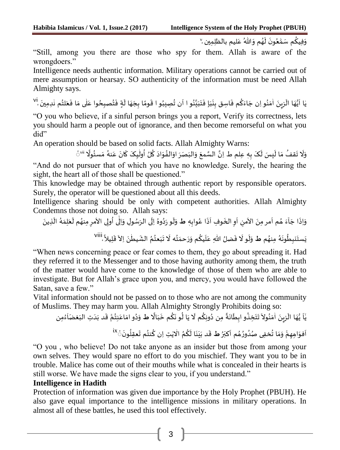وَفِيكُم سَمّْعُونَ لَهُم وَاللّٰهُ عَليم بالظلِمِين <sup>ِ</sup>' ֚֬ ,,  $\overline{\mathbf{r}}$  $\overline{\phantom{a}}$ ا<br>ڊ ا<br>مُ ļ  $\frac{1}{2}$ 

"Still, among you there are those who spy for them. Allah is aware of the wrongdoers."

Intelligence needs authentic information. Military operations cannot be carried out of mere assumption or hearsay. SO authenticity of the information must be need Allah Almighty says.

یٰا اَیُّهَا الَزِینَ اٰمَنُو اِن جَاءَکُم فَاسِق بِنَبَاٍ فَتَبَیَّنُو ا اَن تُصِیبُو ا قَومًا بِجَهَا لَةٍ فَتُصبِحُوا عَلٰی مَا فَعَلتُم نٰدِمِینَ <sup>ا</sup> ْ  $\ddot{\cdot}$ ٰ ֧֧֢֦֧֘ ֦֦֧֚֬֝֝֝  $\ddot{\cdot}$  $\ddot{\ }$ ٰ ֠ ֧֦֧֦֧֦ ֦֧֧֦֧  $\ddot{\cdot}$  $\mathbf{r}$  $\overline{a}$  $\overline{\phantom{a}}$  $\frac{1}{2}$ ֦֧ , ֦֧֧֦֧  $\ddot{\phantom{0}}$ ,<br>. َّ  $\ddot{\phantom{0}}$  $\ddot{\phantom{0}}$  $\ddot{\cdot}$  $\overline{\phantom{a}}$  $\ddot{\cdot}$  $\ddot{\cdot}$  $\ddot{\cdot}$ و  $\overline{\phantom{a}}$  $\overline{\phantom{a}}$ ,<br>.  $\overline{\phantom{a}}$ ٰ  $\ddot{\cdot}$  $\ddot{\phantom{0}}$  $\frac{1}{4}$ ş  $\mathbf{r}$ ٰ

"O you who believe, if a sinful person brings you a report, Verify its correctness, lets you should harm a people out of ignorance, and then become remorseful on what you did"

An operation should be based on solid facts. Allah Almighty Warns: ֦֧֚֝ .<br>-֚֚֚֚֚֚֚֚֚֚֚֚֚֚֚֚֚֚֚֚֡ ノール ؛

ٔ<br>ّ snould oc based on sond facts. Anan Aningnty Wanis.<br>وَلَا تَقفُ مَا لَيسَ لَكَ بِهٖ عِلم ط اِنَّ السَّمعَ وَالبَصَرَ اوَالفُوَادَ كُلُ اُولْيِکَ كَانَ عَنهُ مَسئُولًا "  $\overline{\phantom{a}}$ ֧֛ -<br>2 .<br>. .<br>د  $\ddot{\phantom{0}}$ .<br>.<br>.  $\tilde{\cdot}$  $\ddot{\cdot}$  $\overline{\phantom{a}}$  $\ddot{\phantom{0}}$  $\ddot{\phantom{0}}$ -<br>″  $\overline{\mathbf{r}}$  $\ddot{\phantom{0}}$  $\overline{a}$  $\ddot{\phantom{0}}$  $\frac{1}{1}$  $\overline{\phantom{a}}$ "And do not pursuer that of which you have no knowledge. Surely, the hearing the sight, the heart all of those shall be questioned."

This knowledge may be obtained through authentic report by responsible operators. Surely, the operator will be questioned about all this deeds.

Intelligence sharing should be only with competent authorities. Allah Almighty Condemns those not doing so. Allah says: ا<br>آ

 ہ واب ا ع ذ و ف ا الخ و ا من اال مر من م ا ھ ء ا ا ج اذ و **ط** و ر ل و ذین ال ہ م ل ع م ل منھ مر ی اال ول ی ا ال و ل و س ی الر ال وہ د ֧֠  $\ddot{\cdot}$  $\mathbf{r}$  $\ddot{\cdot}$ Ş  $\overline{\phantom{a}}$  $\vdots$ ֦  $\ddot{\cdot}$  $\overline{\phantom{a}}$ ĭ  $\overline{\phantom{a}}$ ِ<br>آ  $\overline{\phantom{a}}$  $\ddot{\cdot}$  $\ddot{\cdot}$  $\overline{\mathbf{r}}$  $\ddot{\phantom{0}}$ -<br>: ו<br>י ֚֓֓֝֝֝֝֝֝<br>֧֝֝֝  $\overline{\phantom{a}}$ ֦֧ ו<br>ו ֦֧ ֖֚֓ ו<br>أ ٰ  $\tilde{\cdot}$  $\ddot{\cdot}$ i<br>F ֧֛֠֜֜֜ ຸ viii یال ل ق اال ن یط الش م عت ب ت ہ ال ت حم ر م و یک ل ہللا ع ضل ف و ال ل م **ط** و منھ ہ ون ط نب ست ی ْ  $\tilde{\mathbf{v}}$ ֦֧ ֦  $\ddot{\cdot}$ ٰ  $\overline{\cdot}$ ֧֠ .<br>.  $\overline{\phantom{a}}$  $\ddot{\phantom{0}}$  $\tilde{t}$ ,<br>.  $\overline{a}$  $\ddot{\cdot}$  $\ddot{\phantom{0}}$ ٳ  $\overline{\phantom{a}}$ ֠ ֦֧  $\tilde{t}$  $\ddot{\phantom{0}}$  $\tilde{\phantom{0}}$ ۮ ۮ  $\ddot{\cdot}$ ر<br>1  $\ddot{\phantom{0}}$  $\ddot{\cdot}$ 

"When news concerning peace or fear comes to them, they go about spreading it. Had they referred it to the Messenger and to those having authority among them, the truth of the matter would have come to the knowledge of those of them who are able to investigate. But for Allah's grace upon you, and mercy, you would have followed the Satan, save a few."

Vital information should not be passed on to those who are not among the community of Muslims. They may harm you. Allah Almighty Strongly Prohibits doing so:

لَّا يُّهَا الَزِينَ اٰمَنُولاَ تَتَخِذُو ابِطَانَةً مِن دُونِكُم لَا يَا لُو نَكُم خَبَالًا ط وَدُو امَاعَنِتُمَّ قَد بَدَتِ البَغضَا*َءُون*<br>يٰاَ يُّهَا الَزِينَ اٰمَنُولاَ تَتَخِذُو ابِطَانَةً مِن دُونِكُم لَا يَا لُو ن .<br>. ر<br>م .<br>و -<br>.  $\frac{1}{2}$ .<br>. |<br>F .<br>م .<br>..  $\tilde{.}$ .<br>ג "  $\overline{\phantom{a}}$ ا<br>ا .<br>.  $\tilde{\mathbf{r}}$  $\overline{1}$ ş  $\overline{\phantom{a}}$  $\tilde{\cdot}$ ٰ ا<br>أ  $\ddot{\phantom{0}}$  $\ddot{\ }$ ٳ :<br>: ا<br>م į י<br>ה  $\ddot{\phantom{0}}$ .<br>. Į ֦֧֦֧֦֧֦֧֦֧֦֧֝֝֝֜֜֜֜֜ ۚ .<br>. ֚ .<br>^ ֚֚֚֚֚  $\ddot{\phantom{0}}$ 

اَفوَاهِهِمّْ وَمَا تُخفِى صُدُورُهُم اَكبَرُ **ط**ْ قَد بَيَنَا لَكُمُ الْايْتِ اِن كُنتُم تَعقِلُونَ َ<sup>×i</sup>  $\ddot{\phantom{0}}$ e<br>1  $\ddot{\phantom{0}}$ ,<br>. ļ ٰ ؚ<br>ا ֠ ٤  $\ddot{\phantom{0}}$  $\ddot{\cdot}$  $\ddot{\phantom{0}}$  $\ddot{\cdot}$  $\overline{a}$  $\ddot{\phantom{0}}$  $\mathbf{r}$ ر<br>د ؚ<br>ڊ ر<br>د ,<br>.  $\tilde{ }$  $\ddot{\ }$ ؚ<br>؞  $\overline{\phantom{a}}$  $\mathbf{r}$ 

"O you , who believe! Do not take anyone as an insider but those from among your own selves. They would spare no effort to do you mischief. They want you to be in trouble. Malice has come out of their mouths while what is concealed in their hearts is still worse. We have made the signs clear to you, if you understand."

### **Intelligence in Hadith**

Protection of information was given due importance by the Holy Prophet (PBUH). He also gave equal importance to the intelligence missions in military operations. In almost all of these battles, he used this tool effectively.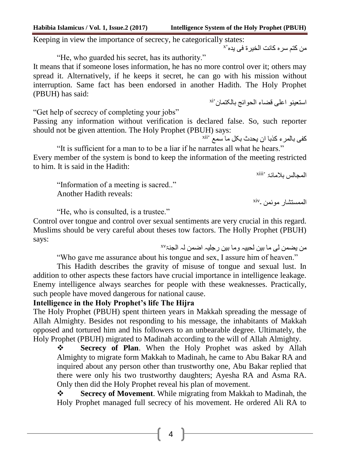**Habibia Islamicus / Vol. 1, Issue.2 (2017) Intelligence System of the Holy Prophet (PBUH)**

Keeping in view the importance of secrecy, he categorically states:

x من کتم سرہ کانت الخیرۃ فی یدہ

"He, who guarded his secret, has its authority."

It means that if someone loses information, he has no more control over it; others may spread it. Alternatively, if he keeps it secret, he can go with his mission without interruption. Same fact has been endorsed in another Hadith. The Holy Prophet (PBUH) has said: استعینو اعلی قضاء الحوائج بالکتمان xi

"Get help of secrecy of completing your jobs"

Passing any information without verification is declared false. So, such reporter should not be given attention. The Holy Prophet (PBUH) says:

کفی بالمرء کذبا ان یحدث بکل ما سمع xii

"It is sufficient for a man to to be a liar if he narrates all what he hears." Every member of the system is bond to keep the information of the meeting restricted to him. It is said in the Hadith:

المجالس بالمائۃ xiii

"Information of a meeting is sacred.." Another Hadith reveals:

 $\sin y$ الممستشار موئمن

"He, who is consulted, is a trustee."

Control over tongue and control over sexual sentiments are very crucial in this regard. Muslims should be very careful about theses tow factors. The Holly Prophet (PBUH) says:

من یضمن لی ما بین لحییہ وما بین رجلیہ اضمن لہ الجنۃxv

"Who gave me assurance about his tongue and sex, I assure him of heaven."

This Hadith describes the gravity of misuse of tongue and sexual lust. In addition to other aspects these factors have crucial importance in intelligence leakage. Enemy intelligence always searches for people with these weaknesses. Practically, such people have moved dangerous for national cause.

# **Intelligence in the Holy Prophet's life The Hijra**

The Holy Prophet (PBUH) spent thirteen years in Makkah spreading the message of Allah Almighty. Besides not responding to his message, the inhabitants of Makkah opposed and tortured him and his followers to an unbearable degree. Ultimately, the Holy Prophet (PBUH) migrated to Madinah according to the will of Allah Almighty.

**Secrecy of Plan.** When the Holy Prophet was asked by Allah Almighty to migrate form Makkah to Madinah, he came to Abu Bakar RA and inquired about any person other than trustworthy one, Abu Bakar replied that there were only his two trustworthy daughters; Ayesha RA and Asma RA. Only then did the Holy Prophet reveal his plan of movement.

 **Secrecy of Movement**. While migrating from Makkah to Madinah, the Holy Prophet managed full secrecy of his movement. He ordered Ali RA to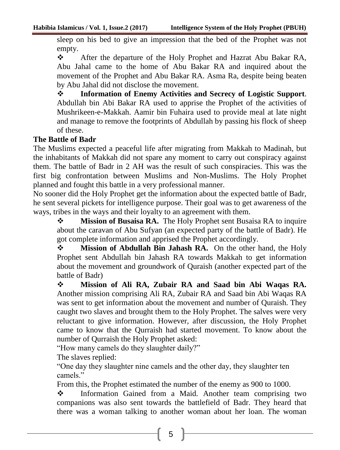sleep on his bed to give an impression that the bed of the Prophet was not empty.

 After the departure of the Holy Prophet and Hazrat Abu Bakar RA, Abu Jahal came to the home of Abu Bakar RA and inquired about the movement of the Prophet and Abu Bakar RA. Asma Ra, despite being beaten by Abu Jahal did not disclose the movement.

 **Information of Enemy Activities and Secrecy of Logistic Support**. Abdullah bin Abi Bakar RA used to apprise the Prophet of the activities of Mushrikeen-e-Makkah. Aamir bin Fuhaira used to provide meal at late night and manage to remove the footprints of Abdullah by passing his flock of sheep of these.

## **The Battle of Badr**

The Muslims expected a peaceful life after migrating from Makkah to Madinah, but the inhabitants of Makkah did not spare any moment to carry out conspiracy against them. The battle of Badr in 2 AH was the result of such conspiracies. This was the first big confrontation between Muslims and Non-Muslims. The Holy Prophet planned and fought this battle in a very professional manner.

No sooner did the Holy Prophet get the information about the expected battle of Badr, he sent several pickets for intelligence purpose. Their goal was to get awareness of the ways, tribes in the ways and their loyalty to an agreement with them.

**Mission of Busaisa RA.** The Holy Prophet sent Busaisa RA to inquire about the caravan of Abu Sufyan (an expected party of the battle of Badr). He got complete information and apprised the Prophet accordingly.

**Mission of Abdullah Bin Jahash RA.** On the other hand, the Holy Prophet sent Abdullah bin Jahash RA towards Makkah to get information about the movement and groundwork of Quraish (another expected part of the battle of Badr)

 **Mission of Ali RA, Zubair RA and Saad bin Abi Waqas RA.**  Another mission comprising Ali RA, Zubair RA and Saad bin Abi Waqas RA was sent to get information about the movement and number of Quraish. They caught two slaves and brought them to the Holy Prophet. The salves were very reluctant to give information. However, after discussion, the Holy Prophet came to know that the Qurraish had started movement. To know about the number of Qurraish the Holy Prophet asked:

"How many camels do they slaughter daily?"

The slaves replied:

"One day they slaughter nine camels and the other day, they slaughter ten camels."

From this, the Prophet estimated the number of the enemy as 900 to 1000.

 Information Gained from a Maid. Another team comprising two companions was also sent towards the battlefield of Badr. They heard that there was a woman talking to another woman about her loan. The woman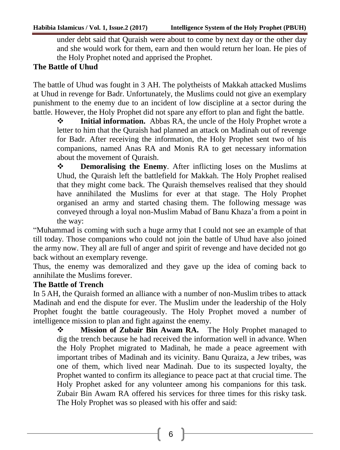under debt said that Quraish were about to come by next day or the other day and she would work for them, earn and then would return her loan. He pies of the Holy Prophet noted and apprised the Prophet.

# **The Battle of Uhud**

The battle of Uhud was fought in 3 AH. The polytheists of Makkah attacked Muslims at Uhud in revenge for Badr. Unfortunately, the Muslims could not give an exemplary punishment to the enemy due to an incident of low discipline at a sector during the battle. However, the Holy Prophet did not spare any effort to plan and fight the battle.

**Initial information.** Abbas RA, the uncle of the Holy Prophet wrote a letter to him that the Quraish had planned an attack on Madinah out of revenge for Badr. After receiving the information, the Holy Prophet sent two of his companions, named Anas RA and Monis RA to get necessary information about the movement of Quraish.

 **Demoralising the Enemy**. After inflicting loses on the Muslims at Uhud, the Quraish left the battlefield for Makkah. The Holy Prophet realised that they might come back. The Quraish themselves realised that they should have annihilated the Muslims for ever at that stage. The Holy Prophet organised an army and started chasing them. The following message was conveyed through a loyal non-Muslim Mabad of Banu Khaza'a from a point in the way:

"Muhammad is coming with such a huge army that I could not see an example of that till today. Those companions who could not join the battle of Uhud have also joined the army now. They all are full of anger and spirit of revenge and have decided not go back without an exemplary revenge.

Thus, the enemy was demoralized and they gave up the idea of coming back to annihilate the Muslims forever.

# **The Battle of Trench**

In 5 AH, the Quraish formed an alliance with a number of non-Muslim tribes to attack Madinah and end the dispute for ever. The Muslim under the leadership of the Holy Prophet fought the battle courageously. The Holy Prophet moved a number of intelligence mission to plan and fight against the enemy.

**Mission of Zubair Bin Awam RA.** The Holy Prophet managed to dig the trench because he had received the information well in advance. When the Holy Prophet migrated to Madinah, he made a peace agreement with important tribes of Madinah and its vicinity. Banu Quraiza, a Jew tribes, was one of them, which lived near Madinah. Due to its suspected loyalty, the Prophet wanted to confirm its allegiance to peace pact at that crucial time. The Holy Prophet asked for any volunteer among his companions for this task. Zubair Bin Awam RA offered his services for three times for this risky task. The Holy Prophet was so pleased with his offer and said: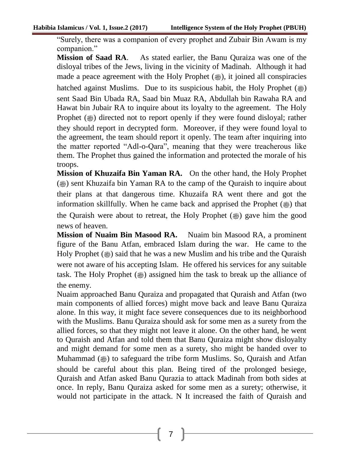"Surely, there was a companion of every prophet and Zubair Bin Awam is my companion."

**Mission of Saad RA**. As stated earlier, the Banu Quraiza was one of the disloyal tribes of the Jews, living in the vicinity of Madinah. Although it had made a peace agreement with the Holy Prophet  $(\omega)$ , it joined all conspiracies hatched against Muslims. Due to its suspicious habit, the Holy Prophet  $(\frac{36}{10})$ sent Saad Bin Ubada RA, Saad bin Muaz RA, Abdullah bin Rawaha RA and Hawat bin Jubair RA to inquire about its loyalty to the agreement. The Holy Prophet ( $\ast$ ) directed not to report openly if they were found disloyal; rather they should report in decrypted form. Moreover, if they were found loyal to the agreement, the team should report it openly. The team after inquiring into the matter reported "Adl-o-Qara", meaning that they were treacherous like them. The Prophet thus gained the information and protected the morale of his troops.

**Mission of Khuzaifa Bin Yaman RA.** On the other hand, the Holy Prophet  $(\circledast)$  sent Khuzaifa bin Yaman RA to the camp of the Quraish to inquire about their plans at that dangerous time. Khuzaifa RA went there and got the information skillfully. When he came back and apprised the Prophet  $(\triangleq)$  that the Quraish were about to retreat, the Holy Prophet ( $\circledast$ ) gave him the good news of heaven.

**Mission of Nuaim Bin Masood RA.** Nuaim bin Masood RA, a prominent figure of the Banu Atfan, embraced Islam during the war. He came to the Holy Prophet ( $\circledast$ ) said that he was a new Muslim and his tribe and the Quraish were not aware of his accepting Islam. He offered his services for any suitable task. The Holy Prophet  $(\triangleq)$  assigned him the task to break up the alliance of the enemy.

Nuaim approached Banu Quraiza and propagated that Quraish and Atfan (two main components of allied forces) might move back and leave Banu Quraiza alone. In this way, it might face severe consequences due to its neighborhood with the Muslims. Banu Quraiza should ask for some men as a surety from the allied forces, so that they might not leave it alone. On the other hand, he went to Quraish and Atfan and told them that Banu Quraiza might show disloyalty and might demand for some men as a surety, sho might be handed over to Muhammad ( $\circledast$ ) to safeguard the tribe form Muslims. So, Quraish and Atfan should be careful about this plan. Being tired of the prolonged besiege, Quraish and Atfan asked Banu Qurazia to attack Madinah from both sides at once. In reply, Banu Quraiza asked for some men as a surety; otherwise, it would not participate in the attack. N It increased the faith of Quraish and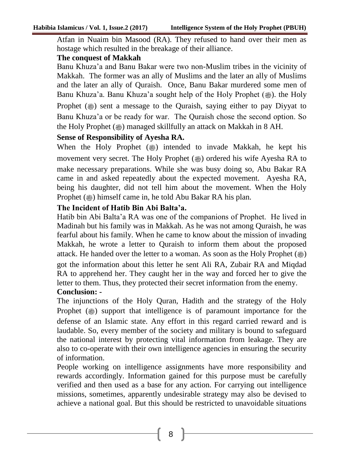Atfan in Nuaim bin Masood (RA). They refused to hand over their men as hostage which resulted in the breakage of their alliance.

#### **The conquest of Makkah**

Banu Khuza'a and Banu Bakar were two non-Muslim tribes in the vicinity of Makkah. The former was an ally of Muslims and the later an ally of Muslims and the later an ally of Quraish. Once, Banu Bakar murdered some men of Banu Khuza'a. Banu Khuza'a sought help of the Holy Prophet (...). the Holy Prophet ( $\ast$ ) sent a message to the Quraish, saying either to pay Diyyat to Banu Khuza'a or be ready for war. The Quraish chose the second option. So the Holy Prophet ( $\bullet$ ) managed skillfully an attack on Makkah in 8 AH.

### **Sense of Responsibility of Ayesha RA.**

When the Holy Prophet (3) intended to invade Makkah, he kept his movement very secret. The Holy Prophet ( $\bullet$ ) ordered his wife Ayesha RA to make necessary preparations. While she was busy doing so, Abu Bakar RA came in and asked repeatedly about the expected movement. Ayesha RA, being his daughter, did not tell him about the movement. When the Holy Prophet ( $\omega$ ) himself came in, he told Abu Bakar RA his plan.

## **The Incident of Hatib Bin Abi Balta'a.**

Hatib bin Abi Balta'a RA was one of the companions of Prophet. He lived in Madinah but his family was in Makkah. As he was not among Quraish, he was fearful about his family. When he came to know about the mission of invading Makkah, he wrote a letter to Quraish to inform them about the proposed attack. He handed over the letter to a woman. As soon as the Holy Prophet ( $\clubsuit$ ) got the information about this letter he sent Ali RA, Zubair RA and Miqdad RA to apprehend her. They caught her in the way and forced her to give the letter to them. Thus, they protected their secret information from the enemy. **Conclusion: -**

The injunctions of the Holy Quran, Hadith and the strategy of the Holy Prophet ( $\ast$ ) support that intelligence is of paramount importance for the defense of an Islamic state. Any effort in this regard carried reward and is laudable. So, every member of the society and military is bound to safeguard the national interest by protecting vital information from leakage. They are also to co-operate with their own intelligence agencies in ensuring the security of information.

People working on intelligence assignments have more responsibility and rewards accordingly. Information gained for this purpose must be carefully verified and then used as a base for any action. For carrying out intelligence missions, sometimes, apparently undesirable strategy may also be devised to achieve a national goal. But this should be restricted to unavoidable situations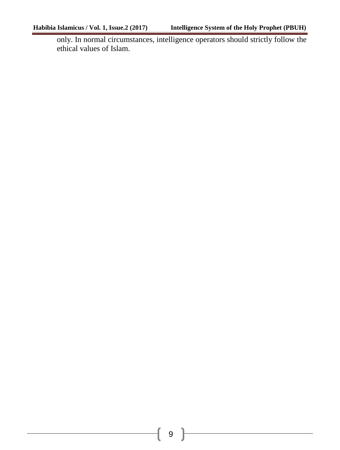only. In normal circumstances, intelligence operators should strictly follow the ethical values of Islam.